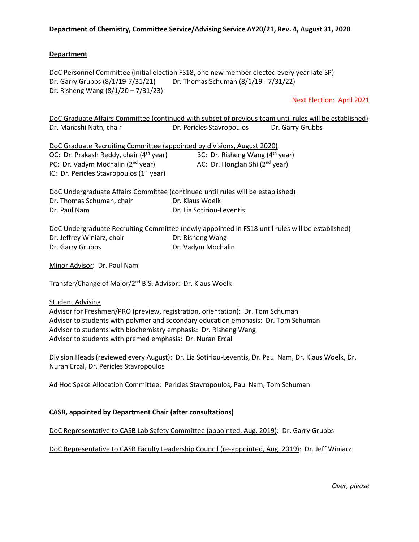### **Department**

DoC Personnel Committee (initial election FS18, one new member elected every year late SP) Dr. Garry Grubbs (8/1/19-7/31/21) Dr. Thomas Schuman (8/1/19 - 7/31/22) Dr. Risheng Wang (8/1/20 – 7/31/23)

Next Election: April 2021

DoC Graduate Affairs Committee (continued with subset of previous team until rules will be established) Dr. Manashi Nath, chair **Dr. Pericles Stavropoulos** Dr. Garry Grubbs

DoC Graduate Recruiting Committee (appointed by divisions, August 2020) OC: Dr. Prakash Reddy, chair  $(4^{th}$  year) BC: Dr. Risheng Wang  $(4^{th}$  year) PC: Dr. Vadym Mochalin  $(2^{nd}$  year)  $AC:$  Dr. Honglan Shi  $(2^{nd}$  year) IC: Dr. Pericles Stavropoulos (1<sup>st</sup> year)

|                           | DoC Undergraduate Affairs Committee (continued until rules will be established) |
|---------------------------|---------------------------------------------------------------------------------|
| Dr. Thomas Schuman, chair | Dr. Klaus Woelk                                                                 |
| Dr. Paul Nam              | Dr. Lia Sotiriou-Leventis                                                       |

DoC Undergraduate Recruiting Committee (newly appointed in FS18 until rules will be established) Dr. Jeffrey Winiarz, chair **Dr. Risheng Wang** Dr. Garry Grubbs Dr. Vadym Mochalin

Minor Advisor: Dr. Paul Nam

Transfer/Change of Major/2nd B.S. Advisor: Dr. Klaus Woelk

#### Student Advising

Advisor for Freshmen/PRO (preview, registration, orientation): Dr. Tom Schuman Advisor to students with polymer and secondary education emphasis: Dr. Tom Schuman Advisor to students with biochemistry emphasis: Dr. Risheng Wang Advisor to students with premed emphasis: Dr. Nuran Ercal

Division Heads (reviewed every August): Dr. Lia Sotiriou-Leventis, Dr. Paul Nam, Dr. Klaus Woelk, Dr. Nuran Ercal, Dr. Pericles Stavropoulos

Ad Hoc Space Allocation Committee: Pericles Stavropoulos, Paul Nam, Tom Schuman

## **CASB, appointed by Department Chair (after consultations)**

DoC Representative to CASB Lab Safety Committee (appointed, Aug. 2019): Dr. Garry Grubbs

DoC Representative to CASB Faculty Leadership Council (re-appointed, Aug. 2019): Dr. Jeff Winiarz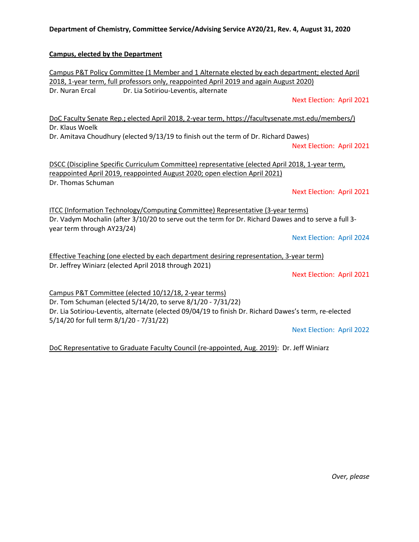#### **Campus, elected by the Department**

Campus P&T Policy Committee (1 Member and 1 Alternate elected by each department; elected April 2018, 1-year term, full professors only, reappointed April 2019 and again August 2020) Dr. Nuran Ercal Dr. Lia Sotiriou-Leventis, alternate

Next Election: April 2021

DoC Faculty Senate Rep.**;** elected April 2018, 2-year term, https://facultysenate.mst.edu/members/) Dr. Klaus Woelk

Dr. Amitava Choudhury (elected 9/13/19 to finish out the term of Dr. Richard Dawes)

Next Election: April 2021

DSCC (Discipline Specific Curriculum Committee) representative (elected April 2018, 1-year term, reappointed April 2019, reappointed August 2020; open election April 2021) Dr. Thomas Schuman

Next Election: April 2021

ITCC (Information Technology/Computing Committee) Representative (3-year terms) Dr. Vadym Mochalin (after 3/10/20 to serve out the term for Dr. Richard Dawes and to serve a full 3 year term through AY23/24)

Next Election: April 2024

Effective Teaching (one elected by each department desiring representation, 3-year term) Dr. Jeffrey Winiarz (elected April 2018 through 2021)

Next Election: April 2021

Campus P&T Committee (elected 10/12/18, 2-year terms) Dr. Tom Schuman (elected 5/14/20, to serve 8/1/20 - 7/31/22) Dr. Lia Sotiriou-Leventis, alternate (elected 09/04/19 to finish Dr. Richard Dawes's term, re-elected 5/14/20 for full term 8/1/20 - 7/31/22)

Next Election: April 2022

DoC Representative to Graduate Faculty Council (re-appointed, Aug. 2019): Dr. Jeff Winiarz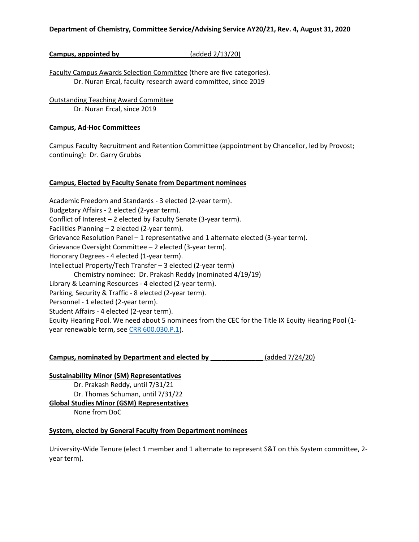## **Campus, appointed by \_\_\_\_\_\_\_\_\_\_\_\_\_\_\_\_\_\_** (added 2/13/20)

Faculty Campus Awards Selection Committee (there are five categories). Dr. Nuran Ercal, faculty research award committee, since 2019

Outstanding Teaching Award Committee Dr. Nuran Ercal, since 2019

#### **Campus, Ad-Hoc Committees**

Campus Faculty Recruitment and Retention Committee (appointment by Chancellor, led by Provost; continuing): Dr. Garry Grubbs

### **Campus, Elected by Faculty Senate from Department nominees**

Academic Freedom and Standards - 3 elected (2-year term). Budgetary Affairs - 2 elected (2-year term). Conflict of Interest – 2 elected by Faculty Senate (3-year term). Facilities Planning – 2 elected (2-year term). Grievance Resolution Panel – 1 representative and 1 alternate elected (3-year term). Grievance Oversight Committee – 2 elected (3-year term). Honorary Degrees - 4 elected (1-year term). Intellectual Property/Tech Transfer – 3 elected (2-year term) Chemistry nominee: Dr. Prakash Reddy (nominated 4/19/19) Library & Learning Resources - 4 elected (2-year term). Parking, Security & Traffic - 8 elected (2-year term). Personnel - 1 elected (2-year term). Student Affairs - 4 elected (2-year term). Equity Hearing Pool. We need about 5 nominees from the CEC for the Title IX Equity Hearing Pool (1 year renewable term, se[e CRR 600.030.P.1\)](https://www.umsystem.edu/ums/rules/collected_rules/equal_employment_educational_opportunity/ch600/600.030_equity_resolution_process_for_resolving_complaints_of_harassment).

**Campus, nominated by Department and elected by \_\_\_\_\_\_\_\_\_\_\_\_\_\_** (added 7/24/20)

#### **Sustainability Minor (SM) Representatives**

Dr. Prakash Reddy, until 7/31/21 Dr. Thomas Schuman, until 7/31/22 **Global Studies Minor (GSM) Representatives** None from DoC

## **System, elected by General Faculty from Department nominees**

University-Wide Tenure (elect 1 member and 1 alternate to represent S&T on this System committee, 2 year term).